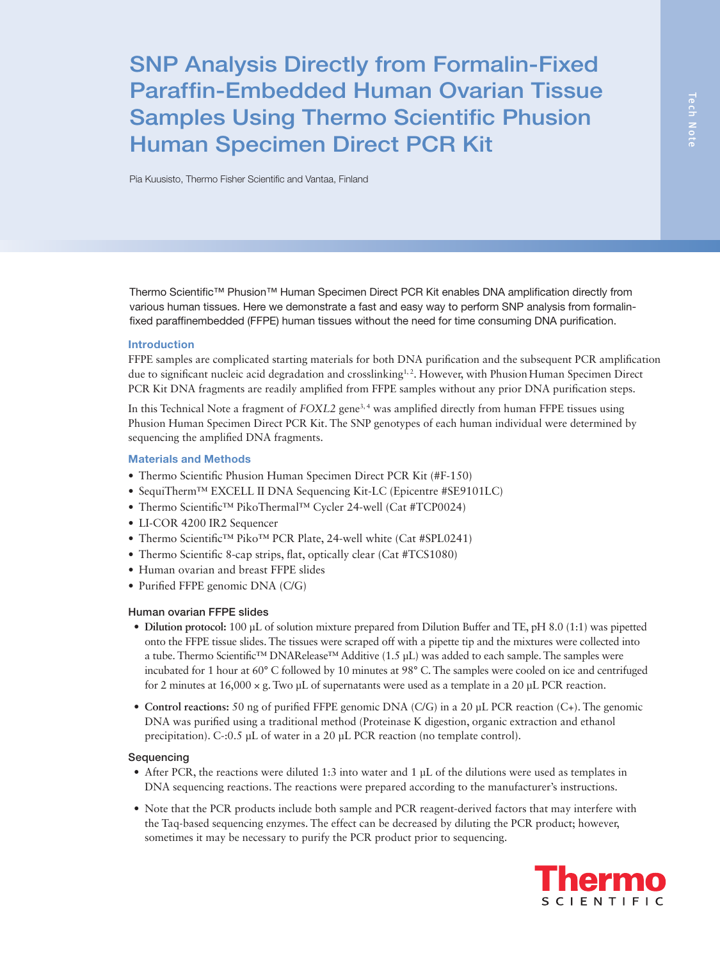# SNP Analysis Directly from Formalin-Fixed Paraffin-Embedded Human Ovarian Tissue Samples Using Thermo Scientific Phusion Human Specimen Direct PCR Kit

Pia Kuusisto, Thermo Fisher Scientific and Vantaa, Finland

Thermo Scientific™ Phusion™ Human Specimen Direct PCR Kit enables DNA amplification directly from various human tissues. Here we demonstrate a fast and easy way to perform SNP analysis from formalinfixed paraffinembedded (FFPE) human tissues without the need for time consuming DNA purification.

### Introduction

FFPE samples are complicated starting materials for both DNA purification and the subsequent PCR amplification due to significant nucleic acid degradation and crosslinking<sup>1,2</sup>. However, with Phusion Human Specimen Direct PCR Kit DNA fragments are readily amplified from FFPE samples without any prior DNA purification steps.

In this Technical Note a fragment of *FOXL2* gene<sup>3,4</sup> was amplified directly from human FFPE tissues using Phusion Human Specimen Direct PCR Kit. The SNP genotypes of each human individual were determined by sequencing the amplified DNA fragments.

### Materials and Methods

- Thermo Scientific Phusion Human Specimen Direct PCR Kit (#F-150)
- SequiTherm™ EXCELL II DNA Sequencing Kit-LC (Epicentre #SE9101LC)
- Thermo Scientific™ PikoThermal™ Cycler 24-well (Cat #TCP0024)
- LI-COR 4200 IR2 Sequencer
- Thermo Scientific™ Piko™ PCR Plate, 24-well white (Cat #SPL0241)
- Thermo Scientific 8-cap strips, flat, optically clear (Cat #TCS1080)
- Human ovarian and breast FFPE slides
- Purified FFPE genomic DNA (C/G)

#### Human ovarian FFPE slides

- **• Dilution protocol:** 100 μL of solution mixture prepared from Dilution Buffer and TE, pH 8.0 (1:1) was pipetted onto the FFPE tissue slides. The tissues were scraped off with a pipette tip and the mixtures were collected into a tube. Thermo Scientific™ DNARelease™ Additive (1.5 μL) was added to each sample. The samples were incubated for 1 hour at 60° C followed by 10 minutes at 98° C. The samples were cooled on ice and centrifuged for 2 minutes at  $16,000 \times g$ . Two μL of supernatants were used as a template in a 20 μL PCR reaction.
- **• Control reactions:** 50 ng of purified FFPE genomic DNA (C/G) in a 20 μL PCR reaction (C+). The genomic DNA was purified using a traditional method (Proteinase K digestion, organic extraction and ethanol precipitation). C-:0.5 μL of water in a 20 μL PCR reaction (no template control).

### Sequencing

- After PCR, the reactions were diluted 1:3 into water and 1 μL of the dilutions were used as templates in DNA sequencing reactions. The reactions were prepared according to the manufacturer's instructions.
- Note that the PCR products include both sample and PCR reagent-derived factors that may interfere with the Taq-based sequencing enzymes. The effect can be decreased by diluting the PCR product; however, sometimes it may be necessary to purify the PCR product prior to sequencing.

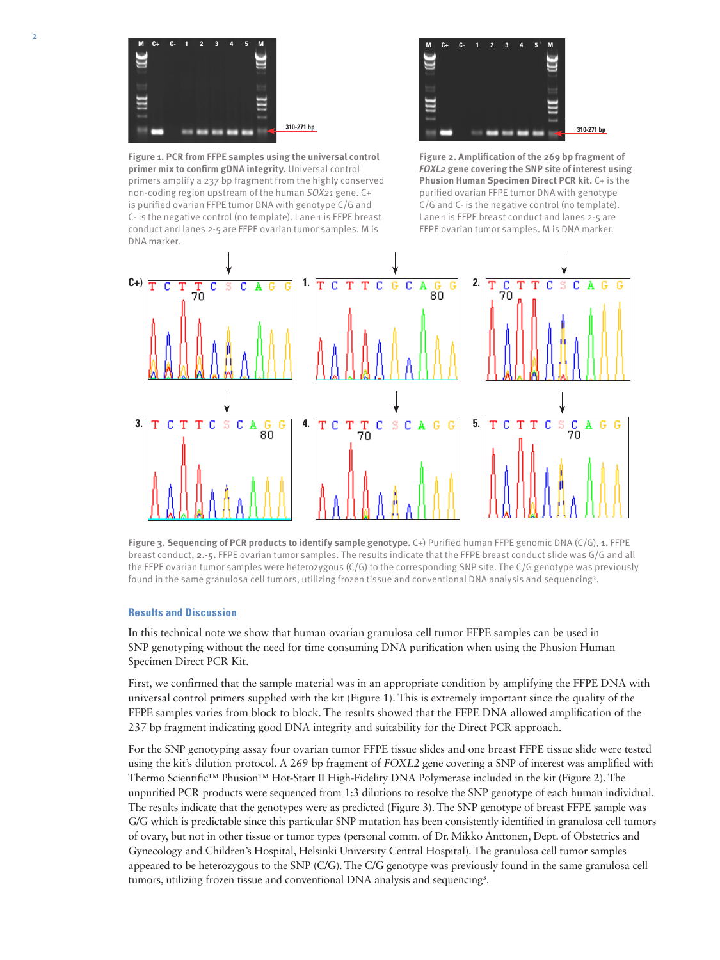

**Figure 1. PCR from FFPE samples using the universal control primer mix to confirm gDNA integrity.** Universal control primers amplify a 237 bp fragment from the highly conserved non-coding region upstream of the human *SOX21* gene. C+ is purified ovarian FFPE tumor DNA with genotype C/G and C- is the negative control (no template). Lane 1 is FFPE breast conduct and lanes 2-5 are FFPE ovarian tumor samples. M is DNA marker.



**Figure 2. Amplification of the 269 bp fragment of**  *FOXL2* **gene covering the SNP site of interest using Phusion Human Specimen Direct PCR kit.** C+ is the purified ovarian FFPE tumor DNA with genotype C/G and C- is the negative control (no template). Lane 1 is FFPE breast conduct and lanes 2-5 are FFPE ovarian tumor samples. M is DNA marker.



**Figure 3. Sequencing of PCR products to identify sample genotype.** C+) Purified human FFPE genomic DNA (C/G), **1.** FFPE breast conduct, **2.-5.** FFPE ovarian tumor samples. The results indicate that the FFPE breast conduct slide was G/G and all the FFPE ovarian tumor samples were heterozygous (C/G) to the corresponding SNP site. The C/G genotype was previously found in the same granulosa cell tumors, utilizing frozen tissue and conventional DNA analysis and sequencing3 .

## **Results and Discussion**

In this technical note we show that human ovarian granulosa cell tumor FFPE samples can be used in SNP genotyping without the need for time consuming DNA purification when using the Phusion Human Specimen Direct PCR Kit.

First, we confirmed that the sample material was in an appropriate condition by amplifying the FFPE DNA with universal control primers supplied with the kit (Figure 1). This is extremely important since the quality of the FFPE samples varies from block to block. The results showed that the FFPE DNA allowed amplification of the 237 bp fragment indicating good DNA integrity and suitability for the Direct PCR approach.

For the SNP genotyping assay four ovarian tumor FFPE tissue slides and one breast FFPE tissue slide were tested using the kit's dilution protocol. A 269 bp fragment of *FOXL2* gene covering a SNP of interest was amplified with Thermo Scientific™ Phusion™ Hot-Start II High-Fidelity DNA Polymerase included in the kit (Figure 2). The unpurified PCR products were sequenced from 1:3 dilutions to resolve the SNP genotype of each human individual. The results indicate that the genotypes were as predicted (Figure 3). The SNP genotype of breast FFPE sample was G/G which is predictable since this particular SNP mutation has been consistently identified in granulosa cell tumors of ovary, but not in other tissue or tumor types (personal comm. of Dr. Mikko Anttonen, Dept. of Obstetrics and Gynecology and Children's Hospital, Helsinki University Central Hospital). The granulosa cell tumor samples appeared to be heterozygous to the SNP (C/G). The C/G genotype was previously found in the same granulosa cell tumors, utilizing frozen tissue and conventional DNA analysis and sequencing<sup>3</sup>.